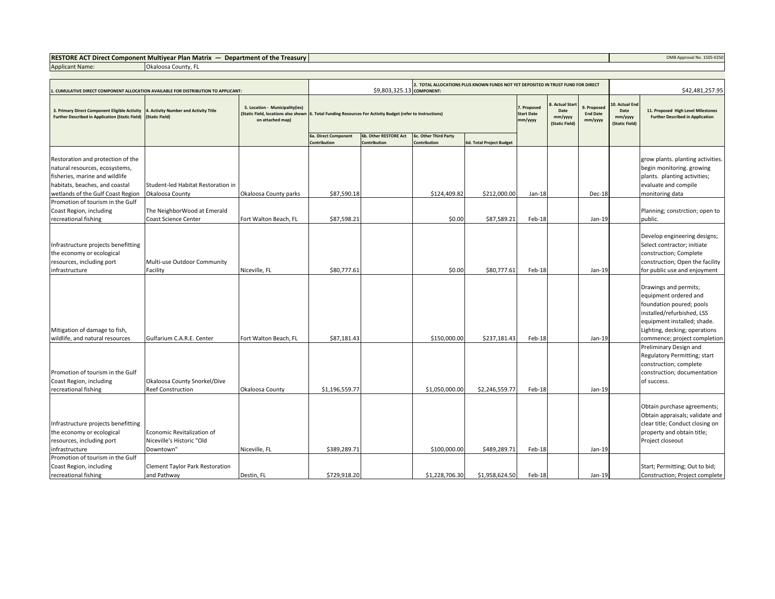**RESTORE ACT Direct Component Multiyear Plan Matrix — Department of the Treasury COMB Approval No. 1505-0250 Approval No. 1505-0250** 

Okaloosa County, FL

Applicant Name:

| CUMULATIVE DIRECT COMPONENT ALLOCATION AVAILABLE FOR DISTRIBUTION TO APPLICANT:                                                                                                                                                                                            |                                                                                                                                  |                                                           | 2. TOTAL ALLOCATIONS PLUS KNOWN FUNDS NOT YET DEPOSITED IN TRUST FUND FOR DIRECT<br>\$9,803,325.13 COMPONENT: |                                       |                                          |                                               |                                                    |                                           |                                                     | \$42,481,257.95                                                               |                                                                                                                                                                                                                                                                                                                                                                                                                                                                                                        |  |
|----------------------------------------------------------------------------------------------------------------------------------------------------------------------------------------------------------------------------------------------------------------------------|----------------------------------------------------------------------------------------------------------------------------------|-----------------------------------------------------------|---------------------------------------------------------------------------------------------------------------|---------------------------------------|------------------------------------------|-----------------------------------------------|----------------------------------------------------|-------------------------------------------|-----------------------------------------------------|-------------------------------------------------------------------------------|--------------------------------------------------------------------------------------------------------------------------------------------------------------------------------------------------------------------------------------------------------------------------------------------------------------------------------------------------------------------------------------------------------------------------------------------------------------------------------------------------------|--|
| 3. Primary Direct Component Eligible Activity<br><b>Further Described in Application (Static Field)</b>                                                                                                                                                                    | 4. Activity Number and Activity Title<br>(Static Field)                                                                          | 5. Location - Municipality(ies)<br>on attached map)       | (Static Field, locations also shown 6. Total Funding Resources For Activity Budget (refer to Instructions)    |                                       |                                          | 7. Proposed<br><b>Start Date</b><br>mm/yyyy   | . Actual Star<br>Date<br>mm/yyyy<br>(Static Field) | 9. Proposed<br><b>End Date</b><br>mm/yyyy | 10. Actual Enc<br>Date<br>mm/yyyy<br>(Static Field) | 11. Proposed High Level Milestones<br><b>Further Described in Application</b> |                                                                                                                                                                                                                                                                                                                                                                                                                                                                                                        |  |
|                                                                                                                                                                                                                                                                            |                                                                                                                                  |                                                           | 6a. Direct Component<br>Contribution                                                                          | 6b. Other RESTORE Act<br>Contribution | 6c. Other Third Party<br>Contribution    | <b>6d. Total Project Budget</b>               |                                                    |                                           |                                                     |                                                                               |                                                                                                                                                                                                                                                                                                                                                                                                                                                                                                        |  |
| Restoration and protection of the<br>natural resources, ecosystems,<br>fisheries, marine and wildlife<br>habitats, beaches, and coastal<br>wetlands of the Gulf Coast Region                                                                                               | Student-led Habitat Restoration in<br>Okaloosa County                                                                            | Okaloosa County parks                                     | \$87,590.18                                                                                                   |                                       | \$124,409.82                             | \$212,000.00                                  | $Jan-18$                                           |                                           | Dec-18                                              |                                                                               | grow plants. planting activities.<br>begin monitoring. growing<br>plants. planting activities;<br>evaluate and compile<br>monitoring data                                                                                                                                                                                                                                                                                                                                                              |  |
| Promotion of tourism in the Gulf<br>Coast Region, including<br>recreational fishing                                                                                                                                                                                        | The NeighborWood at Emerald<br>Coast Science Center                                                                              | Fort Walton Beach, FL                                     | \$87,598.21                                                                                                   |                                       | \$0.00                                   | \$87,589.21                                   | Feb-18                                             |                                           | Jan-19                                              |                                                                               | Planning; constrction; open to<br>public.                                                                                                                                                                                                                                                                                                                                                                                                                                                              |  |
| Infrastructure projects benefitting<br>the economy or ecological<br>resources, including port<br>infrastructure<br>Mitigation of damage to fish,<br>wildlife, and natural resources<br>Promotion of tourism in the Gulf<br>Coast Region, including<br>recreational fishing | Multi-use Outdoor Community<br>Facility<br>Gulfarium C.A.R.E. Center<br>Okaloosa County Snorkel/Dive<br><b>Reef Construction</b> | Niceville, FL<br>Fort Walton Beach, FL<br>Okaloosa County | \$80,777.61<br>\$87,181.43<br>\$1,196,559.77                                                                  |                                       | \$0.00<br>\$150,000.00<br>\$1,050,000.00 | \$80,777.61<br>\$237,181.43<br>\$2,246,559.77 | Feb-18<br>Feb-18<br>Feb-18                         |                                           | Jan-19<br>Jan-19<br>Jan-19                          |                                                                               | Develop engineering designs;<br>Select contractor; initiate<br>construction; Complete<br>construction; Open the facility<br>for public use and enjoyment<br>Drawings and permits;<br>equipment ordered and<br>foundation poured; pools<br>installed/refurbished, LSS<br>equipment installed; shade.<br>Lighting, decking; operations<br>commence; project completion<br>Preliminary Design and<br>Regulatory Permitting; start<br>construction; complete<br>construction; documentation<br>of success. |  |
| Infrastructure projects benefitting<br>the economy or ecological<br>resources, including port<br>infrastructure                                                                                                                                                            | Economic Revitalization of<br>Niceville's Historic "Old<br>Downtown"                                                             | Niceville, FL                                             | \$389,289.71                                                                                                  |                                       | \$100,000.00                             | \$489,289.71                                  | Feb-18                                             |                                           | Jan-19                                              |                                                                               | Obtain purchase agreements;<br>Obtain appraisals; validate and<br>clear title; Conduct closing on<br>property and obtain title;<br>Project closeout                                                                                                                                                                                                                                                                                                                                                    |  |
| Promotion of tourism in the Gulf<br>Coast Region, including<br>recreational fishing                                                                                                                                                                                        | Clement Taylor Park Restoration<br>and Pathway                                                                                   | Destin, FL                                                | \$729,918.20                                                                                                  |                                       | \$1,228,706.30                           | \$1,958,624.50                                | Feb-18                                             |                                           | Jan-19                                              |                                                                               | Start; Permitting; Out to bid;<br>Construction; Project complete                                                                                                                                                                                                                                                                                                                                                                                                                                       |  |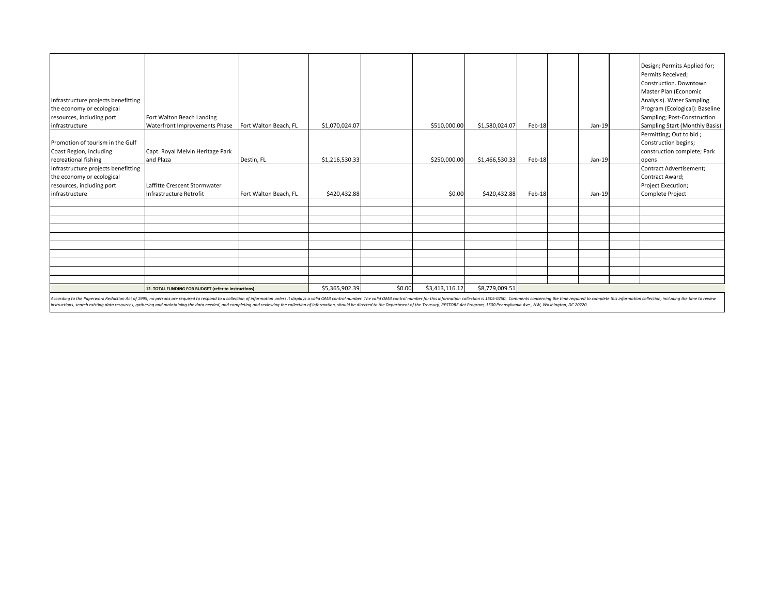| Infrastructure projects benefitting<br>the economy or ecological                                                                                                                                                                                                                                                                                                                                                                                                 |                                                                                                                      |                       |                |                |                |                |        |                                | Design; Permits Applied for;<br>Permits Received;<br>Construction, Downtown<br>Master Plan (Economic<br>Analysis). Water Sampling<br>Program (Ecological): Baseline |
|------------------------------------------------------------------------------------------------------------------------------------------------------------------------------------------------------------------------------------------------------------------------------------------------------------------------------------------------------------------------------------------------------------------------------------------------------------------|----------------------------------------------------------------------------------------------------------------------|-----------------------|----------------|----------------|----------------|----------------|--------|--------------------------------|---------------------------------------------------------------------------------------------------------------------------------------------------------------------|
| resources, including port                                                                                                                                                                                                                                                                                                                                                                                                                                        | Fort Walton Beach Landing                                                                                            |                       |                |                |                |                |        |                                | Sampling; Post-Construction                                                                                                                                         |
| infrastructure                                                                                                                                                                                                                                                                                                                                                                                                                                                   | Waterfront Improvements Phase<br>Fort Walton Beach, FL<br>\$1,070,024.07<br>\$510,000.00<br>\$1,580,024.07<br>Feb-18 |                       |                |                |                |                | Jan-19 | Sampling Start (Monthly Basis) |                                                                                                                                                                     |
| Promotion of tourism in the Gulf<br>Coast Region, including<br>recreational fishing                                                                                                                                                                                                                                                                                                                                                                              | Capt. Royal Melvin Heritage Park<br>and Plaza                                                                        | Destin, FL            | \$1,216,530.33 |                | \$250,000.00   | \$1,466,530.33 | Feb-18 | Jan-19                         | Permitting; Out to bid;<br>Construction begins;<br>construction complete; Park<br>opens                                                                             |
| Infrastructure projects benefitting                                                                                                                                                                                                                                                                                                                                                                                                                              |                                                                                                                      |                       |                |                |                |                |        |                                | Contract Advertisement;                                                                                                                                             |
| the economy or ecological                                                                                                                                                                                                                                                                                                                                                                                                                                        |                                                                                                                      |                       |                |                |                |                |        |                                | Contract Award;                                                                                                                                                     |
| resources, including port                                                                                                                                                                                                                                                                                                                                                                                                                                        | Laffitte Crescent Stormwater                                                                                         |                       |                |                |                |                |        |                                | Project Execution;                                                                                                                                                  |
| infrastructure                                                                                                                                                                                                                                                                                                                                                                                                                                                   | Infrastructure Retrofit                                                                                              | Fort Walton Beach, FL | \$420,432.88   |                | \$0.00         | \$420,432.88   | Feb-18 | Jan-19                         | <b>Complete Project</b>                                                                                                                                             |
|                                                                                                                                                                                                                                                                                                                                                                                                                                                                  |                                                                                                                      |                       |                |                |                |                |        |                                |                                                                                                                                                                     |
|                                                                                                                                                                                                                                                                                                                                                                                                                                                                  |                                                                                                                      |                       |                |                |                |                |        |                                |                                                                                                                                                                     |
|                                                                                                                                                                                                                                                                                                                                                                                                                                                                  |                                                                                                                      |                       |                |                |                |                |        |                                |                                                                                                                                                                     |
|                                                                                                                                                                                                                                                                                                                                                                                                                                                                  |                                                                                                                      |                       |                |                |                |                |        |                                |                                                                                                                                                                     |
|                                                                                                                                                                                                                                                                                                                                                                                                                                                                  |                                                                                                                      |                       |                |                |                |                |        |                                |                                                                                                                                                                     |
|                                                                                                                                                                                                                                                                                                                                                                                                                                                                  |                                                                                                                      |                       |                |                |                |                |        |                                |                                                                                                                                                                     |
|                                                                                                                                                                                                                                                                                                                                                                                                                                                                  |                                                                                                                      |                       |                |                |                |                |        |                                |                                                                                                                                                                     |
|                                                                                                                                                                                                                                                                                                                                                                                                                                                                  |                                                                                                                      |                       |                |                |                |                |        |                                |                                                                                                                                                                     |
|                                                                                                                                                                                                                                                                                                                                                                                                                                                                  |                                                                                                                      |                       |                |                |                |                |        |                                |                                                                                                                                                                     |
|                                                                                                                                                                                                                                                                                                                                                                                                                                                                  | 12. TOTAL FUNDING FOR BUDGET (refer to Instructions)                                                                 | \$5,365,902.39        | \$0.00         | \$3,413,116.12 | \$8,779,009.51 |                |        |                                |                                                                                                                                                                     |
| According to the Paperwork Reduction Act of 1995, no persons are required to respond to a collection of information unless it displays a valid OMB control number. The valid OMB control number for this information collectio<br>instructions, search existing data resources, gathering and maintaining the data needed, and completing and reviewing the collection of information, should be directed to the Department of the Treasury, RESTORE Act Program |                                                                                                                      |                       |                |                |                |                |        |                                |                                                                                                                                                                     |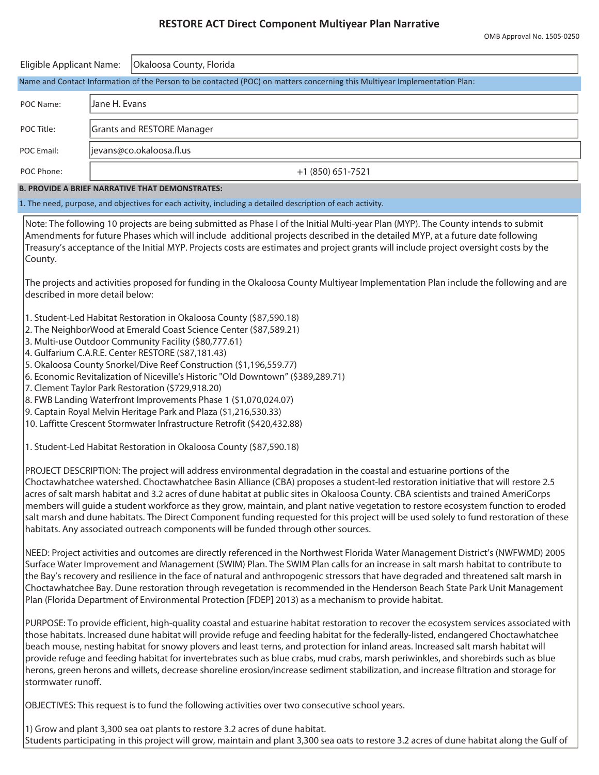### **RESTORE ACT Direct Component Multiyear Plan Narrative**

| Eligible Applicant Name:                                                                                                   |                          | Okaloosa County, Florida          |  |  |  |  |  |  |  |
|----------------------------------------------------------------------------------------------------------------------------|--------------------------|-----------------------------------|--|--|--|--|--|--|--|
| Name and Contact Information of the Person to be contacted (POC) on matters concerning this Multiyear Implementation Plan: |                          |                                   |  |  |  |  |  |  |  |
| POC Name:                                                                                                                  | Jane H. Evans            |                                   |  |  |  |  |  |  |  |
| POC Title:                                                                                                                 |                          | <b>Grants and RESTORE Manager</b> |  |  |  |  |  |  |  |
| POC Email:                                                                                                                 | jevans@co.okaloosa.fl.us |                                   |  |  |  |  |  |  |  |
| POC Phone:                                                                                                                 | $+1$ (850) 651-7521      |                                   |  |  |  |  |  |  |  |
| <b>B. PROVIDE A BRIEF NARRATIVE THAT DEMONSTRATES:</b>                                                                     |                          |                                   |  |  |  |  |  |  |  |
| 1. The need, purpose, and objectives for each activity, including a detailed description of each activity.                 |                          |                                   |  |  |  |  |  |  |  |

Note: The following 10 projects are being submitted as Phase I of the Initial Multi-year Plan (MYP). The County intends to submit Amendments for future Phases which will include additional projects described in the detailed MYP, at a future date following Treasury's acceptance of the Initial MYP. Projects costs are estimates and project grants will include project oversight costs by the County.

The projects and activities proposed for funding in the Okaloosa County Multiyear Implementation Plan include the following and are described in more detail below:

- 1. Student-Led Habitat Restoration in Okaloosa County (\$87,590.18)
- 2. The NeighborWood at Emerald Coast Science Center (\$87,589.21)
- 3. Multi-use Outdoor Community Facility (\$80,777.61)
- 4. Gulfarium C.A.R.E. Center RESTORE (\$87,181.43)
- 5. Okaloosa County Snorkel/Dive Reef Construction (\$1,196,559.77)
- 6. Economic Revitalization of Niceville's Historic "Old Downtown" (\$389,289.71)
- 7. Clement Taylor Park Restoration (\$729,918.20)
- 8. FWB Landing Waterfront Improvements Phase 1 (\$1,070,024.07)
- 9. Captain Royal Melvin Heritage Park and Plaza (\$1,216,530.33)
- 10. Laffitte Crescent Stormwater Infrastructure Retrofit (\$420,432.88)
- 1. Student-Led Habitat Restoration in Okaloosa County (\$87,590.18)

PROJECT DESCRIPTION: The project will address environmental degradation in the coastal and estuarine portions of the Choctawhatchee watershed. Choctawhatchee Basin Alliance (CBA) proposes a student-led restoration initiative that will restore 2.5 acres of salt marsh habitat and 3.2 acres of dune habitat at public sites in Okaloosa County. CBA scientists and trained AmeriCorps members will guide a student workforce as they grow, maintain, and plant native vegetation to restore ecosystem function to eroded salt marsh and dune habitats. The Direct Component funding requested for this project will be used solely to fund restoration of these habitats. Any associated outreach components will be funded through other sources.

NEED: Project activities and outcomes are directly referenced in the Northwest Florida Water Management District's (NWFWMD) 2005 Surface Water Improvement and Management (SWIM) Plan. The SWIM Plan calls for an increase in salt marsh habitat to contribute to the Bay's recovery and resilience in the face of natural and anthropogenic stressors that have degraded and threatened salt marsh in Choctawhatchee Bay. Dune restoration through revegetation is recommended in the Henderson Beach State Park Unit Management Plan (Florida Department of Environmental Protection [FDEP] 2013) as a mechanism to provide habitat.

PURPOSE: To provide efficient, high-quality coastal and estuarine habitat restoration to recover the ecosystem services associated with those habitats. Increased dune habitat will provide refuge and feeding habitat for the federally-listed, endangered Choctawhatchee beach mouse, nesting habitat for snowy plovers and least terns, and protection for inland areas. Increased salt marsh habitat will provide refuge and feeding habitat for invertebrates such as blue crabs, mud crabs, marsh periwinkles, and shorebirds such as blue herons, green herons and willets, decrease shoreline erosion/increase sediment stabilization, and increase filtration and storage for stormwater runoff.

OBJECTIVES: This request is to fund the following activities over two consecutive school years.

1) Grow and plant 3,300 sea oat plants to restore 3.2 acres of dune habitat. Students participating in this project will grow, maintain and plant 3,300 sea oats to restore 3.2 acres of dune habitat along the Gulf of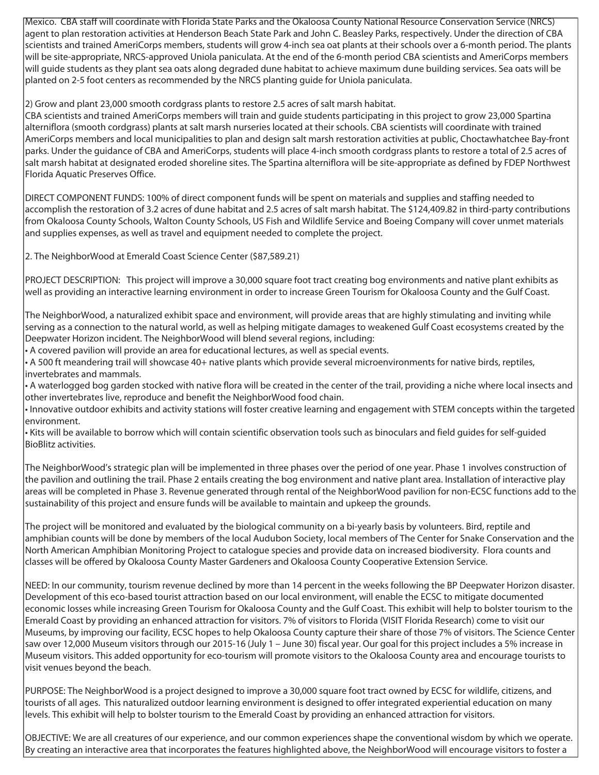Mexico. CBA staff will coordinate with Florida State Parks and the Okaloosa County National Resource Conservation Service (NRCS) agent to plan restoration activities at Henderson Beach State Park and John C. Beasley Parks, respectively. Under the direction of CBA scientists and trained AmeriCorps members, students will grow 4-inch sea oat plants at their schools over a 6-month period. The plants will be site-appropriate, NRCS-approved Uniola paniculata. At the end of the 6-month period CBA scientists and AmeriCorps members will guide students as they plant sea oats along degraded dune habitat to achieve maximum dune building services. Sea oats will be planted on 2-5 foot centers as recommended by the NRCS planting guide for Uniola paniculata.

2) Grow and plant 23,000 smooth cordgrass plants to restore 2.5 acres of salt marsh habitat.

CBA scientists and trained AmeriCorps members will train and guide students participating in this project to grow 23,000 Spartina alterniflora (smooth cordgrass) plants at salt marsh nurseries located at their schools. CBA scientists will coordinate with trained AmeriCorps members and local municipalities to plan and design salt marsh restoration activities at public, Choctawhatchee Bay-front parks. Under the guidance of CBA and AmeriCorps, students will place 4-inch smooth cordgrass plants to restore a total of 2.5 acres of salt marsh habitat at designated eroded shoreline sites. The Spartina alterniflora will be site-appropriate as defined by FDEP Northwest Florida Aquatic Preserves Office.

DIRECT COMPONENT FUNDS: 100% of direct component funds will be spent on materials and supplies and staffing needed to accomplish the restoration of 3.2 acres of dune habitat and 2.5 acres of salt marsh habitat. The \$124,409.82 in third-party contributions from Okaloosa County Schools, Walton County Schools, US Fish and Wildlife Service and Boeing Company will cover unmet materials and supplies expenses, as well as travel and equipment needed to complete the project.

2. The NeighborWood at Emerald Coast Science Center (\$87,589.21)

PROJECT DESCRIPTION: This project will improve a 30,000 square foot tract creating bog environments and native plant exhibits as well as providing an interactive learning environment in order to increase Green Tourism for Okaloosa County and the Gulf Coast.

The NeighborWood, a naturalized exhibit space and environment, will provide areas that are highly stimulating and inviting while serving as a connection to the natural world, as well as helping mitigate damages to weakened Gulf Coast ecosystems created by the Deepwater Horizon incident. The NeighborWood will blend several regions, including:

• A covered pavilion will provide an area for educational lectures, as well as special events.

• A 500 ft meandering trail will showcase 40+ native plants which provide several microenvironments for native birds, reptiles, invertebrates and mammals.

• A waterlogged bog garden stocked with native flora will be created in the center of the trail, providing a niche where local insects and other invertebrates live, reproduce and benefit the NeighborWood food chain.

• Innovative outdoor exhibits and activity stations will foster creative learning and engagement with STEM concepts within the targeted environment.

• Kits will be available to borrow which will contain scientific observation tools such as binoculars and field guides for self-guided BioBlitz activities.

The NeighborWood's strategic plan will be implemented in three phases over the period of one year. Phase 1 involves construction of the pavilion and outlining the trail. Phase 2 entails creating the bog environment and native plant area. Installation of interactive play areas will be completed in Phase 3. Revenue generated through rental of the NeighborWood pavilion for non-ECSC functions add to the sustainability of this project and ensure funds will be available to maintain and upkeep the grounds.

The project will be monitored and evaluated by the biological community on a bi-yearly basis by volunteers. Bird, reptile and amphibian counts will be done by members of the local Audubon Society, local members of The Center for Snake Conservation and the North American Amphibian Monitoring Project to catalogue species and provide data on increased biodiversity. Flora counts and classes will be offered by Okaloosa County Master Gardeners and Okaloosa County Cooperative Extension Service.

NEED: In our community, tourism revenue declined by more than 14 percent in the weeks following the BP Deepwater Horizon disaster. Development of this eco-based tourist attraction based on our local environment, will enable the ECSC to mitigate documented economic losses while increasing Green Tourism for Okaloosa County and the Gulf Coast. This exhibit will help to bolster tourism to the Emerald Coast by providing an enhanced attraction for visitors. 7% of visitors to Florida (VISIT Florida Research) come to visit our Museums, by improving our facility, ECSC hopes to help Okaloosa County capture their share of those 7% of visitors. The Science Center saw over 12,000 Museum visitors through our 2015-16 (July 1 – June 30) fiscal year. Our goal for this project includes a 5% increase in Museum visitors. This added opportunity for eco-tourism will promote visitors to the Okaloosa County area and encourage tourists to visit venues beyond the beach.

PURPOSE: The NeighborWood is a project designed to improve a 30,000 square foot tract owned by ECSC for wildlife, citizens, and tourists of all ages. This naturalized outdoor learning environment is designed to offer integrated experiential education on many levels. This exhibit will help to bolster tourism to the Emerald Coast by providing an enhanced attraction for visitors.

OBJECTIVE: We are all creatures of our experience, and our common experiences shape the conventional wisdom by which we operate. By creating an interactive area that incorporates the features highlighted above, the NeighborWood will encourage visitors to foster a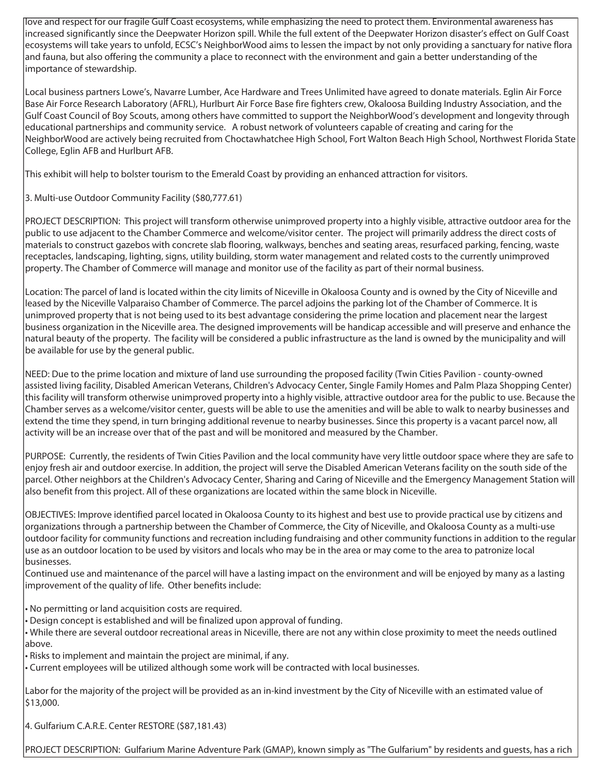love and respect for our fragile Gulf Coast ecosystems, while emphasizing the need to protect them. Environmental awareness has increased significantly since the Deepwater Horizon spill. While the full extent of the Deepwater Horizon disaster's effect on Gulf Coast ecosystems will take years to unfold, ECSC's NeighborWood aims to lessen the impact by not only providing a sanctuary for native flora and fauna, but also offering the community a place to reconnect with the environment and gain a better understanding of the importance of stewardship.

Local business partners Lowe's, Navarre Lumber, Ace Hardware and Trees Unlimited have agreed to donate materials. Eglin Air Force Base Air Force Research Laboratory (AFRL), Hurlburt Air Force Base fire fighters crew, Okaloosa Building Industry Association, and the Gulf Coast Council of Boy Scouts, among others have committed to support the NeighborWood's development and longevity through educational partnerships and community service. A robust network of volunteers capable of creating and caring for the NeighborWood are actively being recruited from Choctawhatchee High School, Fort Walton Beach High School, Northwest Florida State College, Eglin AFB and Hurlburt AFB.

This exhibit will help to bolster tourism to the Emerald Coast by providing an enhanced attraction for visitors.

3. Multi-use Outdoor Community Facility (\$80,777.61)

PROJECT DESCRIPTION: This project will transform otherwise unimproved property into a highly visible, attractive outdoor area for the public to use adjacent to the Chamber Commerce and welcome/visitor center. The project will primarily address the direct costs of materials to construct gazebos with concrete slab flooring, walkways, benches and seating areas, resurfaced parking, fencing, waste receptacles, landscaping, lighting, signs, utility building, storm water management and related costs to the currently unimproved property. The Chamber of Commerce will manage and monitor use of the facility as part of their normal business.

Location: The parcel of land is located within the city limits of Niceville in Okaloosa County and is owned by the City of Niceville and leased by the Niceville Valparaiso Chamber of Commerce. The parcel adjoins the parking lot of the Chamber of Commerce. It is unimproved property that is not being used to its best advantage considering the prime location and placement near the largest business organization in the Niceville area. The designed improvements will be handicap accessible and will preserve and enhance the natural beauty of the property. The facility will be considered a public infrastructure as the land is owned by the municipality and will be available for use by the general public.

NEED: Due to the prime location and mixture of land use surrounding the proposed facility (Twin Cities Pavilion - county-owned assisted living facility, Disabled American Veterans, Children's Advocacy Center, Single Family Homes and Palm Plaza Shopping Center) this facility will transform otherwise unimproved property into a highly visible, attractive outdoor area for the public to use. Because the Chamber serves as a welcome/visitor center, guests will be able to use the amenities and will be able to walk to nearby businesses and extend the time they spend, in turn bringing additional revenue to nearby businesses. Since this property is a vacant parcel now, all activity will be an increase over that of the past and will be monitored and measured by the Chamber.

PURPOSE: Currently, the residents of Twin Cities Pavilion and the local community have very little outdoor space where they are safe to enjoy fresh air and outdoor exercise. In addition, the project will serve the Disabled American Veterans facility on the south side of the parcel. Other neighbors at the Children's Advocacy Center, Sharing and Caring of Niceville and the Emergency Management Station will also benefit from this project. All of these organizations are located within the same block in Niceville.

OBJECTIVES: Improve identified parcel located in Okaloosa County to its highest and best use to provide practical use by citizens and organizations through a partnership between the Chamber of Commerce, the City of Niceville, and Okaloosa County as a multi-use outdoor facility for community functions and recreation including fundraising and other community functions in addition to the regular use as an outdoor location to be used by visitors and locals who may be in the area or may come to the area to patronize local businesses.

Continued use and maintenance of the parcel will have a lasting impact on the environment and will be enjoyed by many as a lasting improvement of the quality of life. Other benefits include:

- No permitting or land acquisition costs are required.
- Design concept is established and will be finalized upon approval of funding.

• While there are several outdoor recreational areas in Niceville, there are not any within close proximity to meet the needs outlined above.

- Risks to implement and maintain the project are minimal, if any.
- Current employees will be utilized although some work will be contracted with local businesses.

Labor for the majority of the project will be provided as an in-kind investment by the City of Niceville with an estimated value of \$13,000.

4. Gulfarium C.A.R.E. Center RESTORE (\$87,181.43)

PROJECT DESCRIPTION: Gulfarium Marine Adventure Park (GMAP), known simply as "The Gulfarium" by residents and guests, has a rich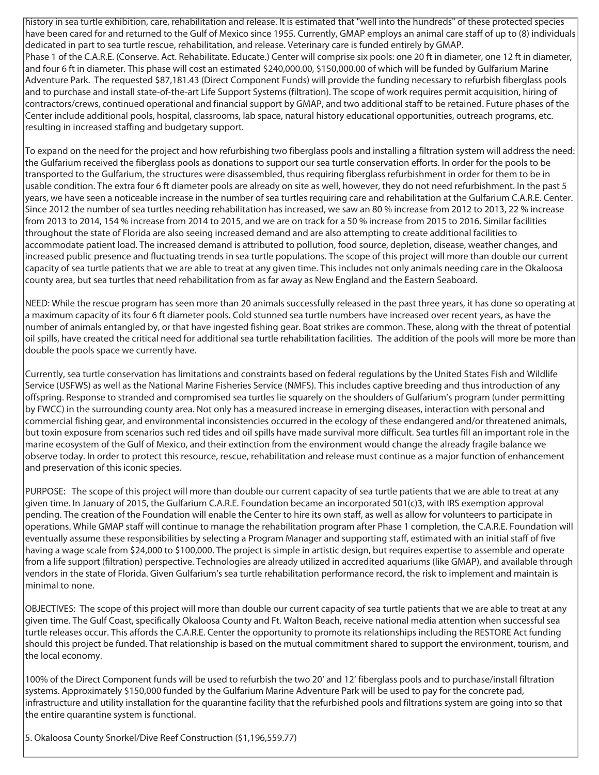history in sea turtle exhibition, care, rehabilitation and release. It is estimated that "well into the hundreds" of these protected species have been cared for and returned to the Gulf of Mexico since 1955. Currently, GMAP employs an animal care staff of up to (8) individuals dedicated in part to sea turtle rescue, rehabilitation, and release. Veterinary care is funded entirely by GMAP. Phase 1 of the C.A.R.E. (Conserve. Act. Rehabilitate. Educate.) Center will comprise six pools: one 20 ft in diameter, one 12 ft in diameter, and four 6 ft in diameter. This phase will cost an estimated \$240,000.00, \$150,000.00 of which will be funded by Gulfarium Marine Adventure Park. The requested \$87,181.43 (Direct Component Funds) will provide the funding necessary to refurbish fiberglass pools and to purchase and install state-of-the-art Life Support Systems (filtration). The scope of work requires permit acquisition, hiring of contractors/crews, continued operational and financial support by GMAP, and two additional staff to be retained. Future phases of the Center include additional pools, hospital, classrooms, lab space, natural history educational opportunities, outreach programs, etc. resulting in increased staffing and budgetary support.

To expand on the need for the project and how refurbishing two fiberglass pools and installing a filtration system will address the need: the Gulfarium received the fiberglass pools as donations to support our sea turtle conservation efforts. In order for the pools to be transported to the Gulfarium, the structures were disassembled, thus requiring fiberglass refurbishment in order for them to be in usable condition. The extra four 6 ft diameter pools are already on site as well, however, they do not need refurbishment. In the past 5 years, we have seen a noticeable increase in the number of sea turtles requiring care and rehabilitation at the Gulfarium C.A.R.E. Center. Since 2012 the number of sea turtles needing rehabilitation has increased, we saw an 80 % increase from 2012 to 2013, 22 % increase from 2013 to 2014, 154 % increase from 2014 to 2015, and we are on track for a 50 % increase from 2015 to 2016. Similar facilities throughout the state of Florida are also seeing increased demand and are also attempting to create additional facilities to accommodate patient load. The increased demand is attributed to pollution, food source, depletion, disease, weather changes, and increased public presence and fluctuating trends in sea turtle populations. The scope of this project will more than double our current capacity of sea turtle patients that we are able to treat at any given time. This includes not only animals needing care in the Okaloosa county area, but sea turtles that need rehabilitation from as far away as New England and the Eastern Seaboard.

NEED: While the rescue program has seen more than 20 animals successfully released in the past three years, it has done so operating at a maximum capacity of its four 6 ft diameter pools. Cold stunned sea turtle numbers have increased over recent years, as have the number of animals entangled by, or that have ingested fishing gear. Boat strikes are common. These, along with the threat of potential oil spills, have created the critical need for additional sea turtle rehabilitation facilities. The addition of the pools will more be more than double the pools space we currently have.

Currently, sea turtle conservation has limitations and constraints based on federal regulations by the United States Fish and Wildlife Service (USFWS) as well as the National Marine Fisheries Service (NMFS). This includes captive breeding and thus introduction of any offspring. Response to stranded and compromised sea turtles lie squarely on the shoulders of Gulfarium's program (under permitting by FWCC) in the surrounding county area. Not only has a measured increase in emerging diseases, interaction with personal and commercial fishing gear, and environmental inconsistencies occurred in the ecology of these endangered and/or threatened animals, but toxin exposure from scenarios such red tides and oil spills have made survival more difficult. Sea turtles fill an important role in the marine ecosystem of the Gulf of Mexico, and their extinction from the environment would change the already fragile balance we observe today. In order to protect this resource, rescue, rehabilitation and release must continue as a major function of enhancement and preservation of this iconic species.

PURPOSE: The scope of this project will more than double our current capacity of sea turtle patients that we are able to treat at any given time. In January of 2015, the Gulfarium C.A.R.E. Foundation became an incorporated 501(c)3, with IRS exemption approval pending. The creation of the Foundation will enable the Center to hire its own staff, as well as allow for volunteers to participate in operations. While GMAP staff will continue to manage the rehabilitation program after Phase 1 completion, the C.A.R.E. Foundation will eventually assume these responsibilities by selecting a Program Manager and supporting staff, estimated with an initial staff of five having a wage scale from \$24,000 to \$100,000. The project is simple in artistic design, but requires expertise to assemble and operate from a life support (filtration) perspective. Technologies are already utilized in accredited aquariums (like GMAP), and available through vendors in the state of Florida. Given Gulfarium's sea turtle rehabilitation performance record, the risk to implement and maintain is minimal to none.

OBJECTIVES: The scope of this project will more than double our current capacity of sea turtle patients that we are able to treat at any given time. The Gulf Coast, specifically Okaloosa County and Ft. Walton Beach, receive national media attention when successful sea turtle releases occur. This affords the C.A.R.E. Center the opportunity to promote its relationships including the RESTORE Act funding should this project be funded. That relationship is based on the mutual commitment shared to support the environment, tourism, and the local economy.

100% of the Direct Component funds will be used to refurbish the two 20' and 12' fiberglass pools and to purchase/install filtration systems. Approximately \$150,000 funded by the Gulfarium Marine Adventure Park will be used to pay for the concrete pad, infrastructure and utility installation for the quarantine facility that the refurbished pools and filtrations system are going into so that the entire quarantine system is functional.

5. Okaloosa County Snorkel/Dive Reef Construction (\$1,196,559.77)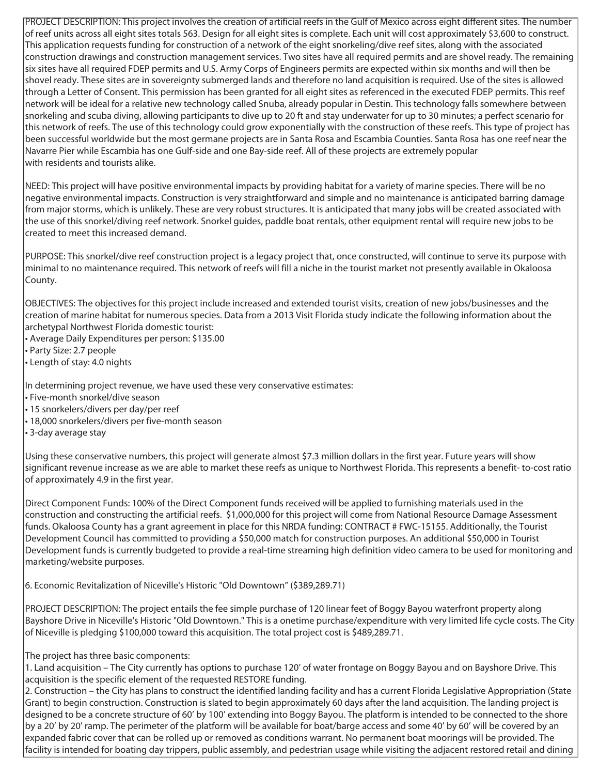PROJECT DESCRIPTION: This project involves the creation of artificial reefs in the Gulf of Mexico across eight different sites. The number of reef units across all eight sites totals 563. Design for all eight sites is complete. Each unit will cost approximately \$3,600 to construct. This application requests funding for construction of a network of the eight snorkeling/dive reef sites, along with the associated construction drawings and construction management services. Two sites have all required permits and are shovel ready. The remaining six sites have all required FDEP permits and U.S. Army Corps of Engineers permits are expected within six months and will then be shovel ready. These sites are in sovereignty submerged lands and therefore no land acquisition is required. Use of the sites is allowed through a Letter of Consent. This permission has been granted for all eight sites as referenced in the executed FDEP permits. This reef network will be ideal for a relative new technology called Snuba, already popular in Destin. This technology falls somewhere between snorkeling and scuba diving, allowing participants to dive up to 20 ft and stay underwater for up to 30 minutes; a perfect scenario for this network of reefs. The use of this technology could grow exponentially with the construction of these reefs. This type of project has been successful worldwide but the most germane projects are in Santa Rosa and Escambia Counties. Santa Rosa has one reef near the Navarre Pier while Escambia has one Gulf-side and one Bay-side reef. All of these projects are extremely popular with residents and tourists alike.

NEED: This project will have positive environmental impacts by providing habitat for a variety of marine species. There will be no negative environmental impacts. Construction is very straightforward and simple and no maintenance is anticipated barring damage from major storms, which is unlikely. These are very robust structures. It is anticipated that many jobs will be created associated with the use of this snorkel/diving reef network. Snorkel guides, paddle boat rentals, other equipment rental will require new jobs to be created to meet this increased demand.

PURPOSE: This snorkel/dive reef construction project is a legacy project that, once constructed, will continue to serve its purpose with minimal to no maintenance required. This network of reefs will fill a niche in the tourist market not presently available in Okaloosa County.

OBJECTIVES: The objectives for this project include increased and extended tourist visits, creation of new jobs/businesses and the creation of marine habitat for numerous species. Data from a 2013 Visit Florida study indicate the following information about the archetypal Northwest Florida domestic tourist:

• Average Daily Expenditures per person: \$135.00

• Party Size: 2.7 people

• Length of stay: 4.0 nights

In determining project revenue, we have used these very conservative estimates:

• Five-month snorkel/dive season

- 15 snorkelers/divers per day/per reef
- 18,000 snorkelers/divers per five-month season
- 3-day average stay

Using these conservative numbers, this project will generate almost \$7.3 million dollars in the first year. Future years will show significant revenue increase as we are able to market these reefs as unique to Northwest Florida. This represents a benefit- to-cost ratio of approximately 4.9 in the first year.

Direct Component Funds: 100% of the Direct Component funds received will be applied to furnishing materials used in the construction and constructing the artificial reefs. \$1,000,000 for this project will come from National Resource Damage Assessment funds. Okaloosa County has a grant agreement in place for this NRDA funding: CONTRACT # FWC-15155. Additionally, the Tourist Development Council has committed to providing a \$50,000 match for construction purposes. An additional \$50,000 in Tourist Development funds is currently budgeted to provide a real-time streaming high definition video camera to be used for monitoring and marketing/website purposes.

6. Economic Revitalization of Niceville's Historic "Old Downtown" (\$389,289.71)

PROJECT DESCRIPTION: The project entails the fee simple purchase of 120 linear feet of Boggy Bayou waterfront property along Bayshore Drive in Niceville's Historic "Old Downtown." This is a onetime purchase/expenditure with very limited life cycle costs. The City of Niceville is pledging \$100,000 toward this acquisition. The total project cost is \$489,289.71.

The project has three basic components:

1. Land acquisition – The City currently has options to purchase 120' of water frontage on Boggy Bayou and on Bayshore Drive. This acquisition is the specific element of the requested RESTORE funding.

2. Construction – the City has plans to construct the identified landing facility and has a current Florida Legislative Appropriation (State Grant) to begin construction. Construction is slated to begin approximately 60 days after the land acquisition. The landing project is designed to be a concrete structure of 60' by 100' extending into Boggy Bayou. The platform is intended to be connected to the shore by a 20' by 20' ramp. The perimeter of the platform will be available for boat/barge access and some 40' by 60' will be covered by an expanded fabric cover that can be rolled up or removed as conditions warrant. No permanent boat moorings will be provided. The facility is intended for boating day trippers, public assembly, and pedestrian usage while visiting the adjacent restored retail and dining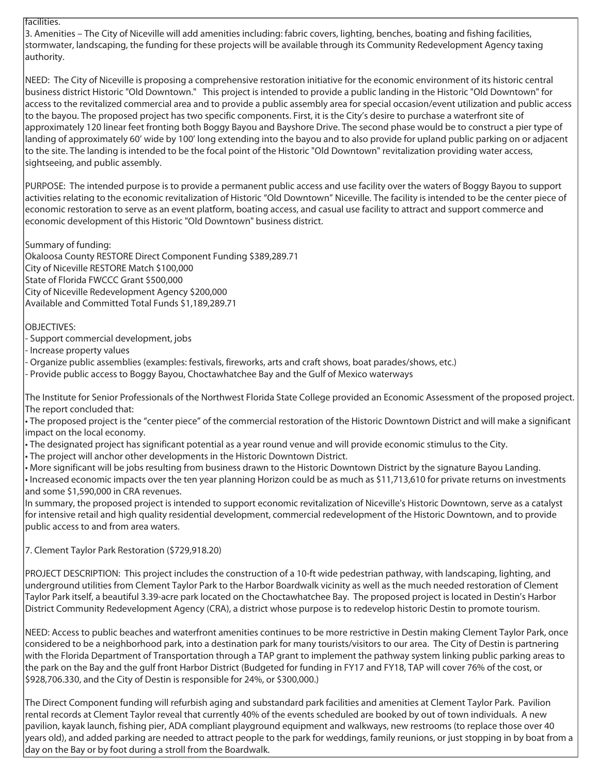#### facilities.

3. Amenities – The City of Niceville will add amenities including: fabric covers, lighting, benches, boating and fishing facilities, stormwater, landscaping, the funding for these projects will be available through its Community Redevelopment Agency taxing authority.

NEED: The City of Niceville is proposing a comprehensive restoration initiative for the economic environment of its historic central business district Historic "Old Downtown." This project is intended to provide a public landing in the Historic "Old Downtown" for access to the revitalized commercial area and to provide a public assembly area for special occasion/event utilization and public access to the bayou. The proposed project has two specific components. First, it is the City's desire to purchase a waterfront site of approximately 120 linear feet fronting both Boggy Bayou and Bayshore Drive. The second phase would be to construct a pier type of landing of approximately 60' wide by 100' long extending into the bayou and to also provide for upland public parking on or adjacent to the site. The landing is intended to be the focal point of the Historic "Old Downtown" revitalization providing water access, sightseeing, and public assembly.

PURPOSE: The intended purpose is to provide a permanent public access and use facility over the waters of Boggy Bayou to support activities relating to the economic revitalization of Historic "Old Downtown" Niceville. The facility is intended to be the center piece of economic restoration to serve as an event platform, boating access, and casual use facility to attract and support commerce and economic development of this Historic "Old Downtown" business district.

Summary of funding:

Okaloosa County RESTORE Direct Component Funding \$389,289.71 City of Niceville RESTORE Match \$100,000 State of Florida FWCCC Grant \$500,000 City of Niceville Redevelopment Agency \$200,000 Available and Committed Total Funds \$1,189,289.71

### OBJECTIVES:

- Support commercial development, jobs

- Increase property values

- Organize public assemblies (examples: festivals, fireworks, arts and craft shows, boat parades/shows, etc.)

- Provide public access to Boggy Bayou, Choctawhatchee Bay and the Gulf of Mexico waterways

The Institute for Senior Professionals of the Northwest Florida State College provided an Economic Assessment of the proposed project. The report concluded that:

• The proposed project is the "center piece" of the commercial restoration of the Historic Downtown District and will make a significant impact on the local economy.

• The designated project has significant potential as a year round venue and will provide economic stimulus to the City.

• The project will anchor other developments in the Historic Downtown District.

• More significant will be jobs resulting from business drawn to the Historic Downtown District by the signature Bayou Landing.

• Increased economic impacts over the ten year planning Horizon could be as much as \$11,713,610 for private returns on investments and some \$1,590,000 in CRA revenues.

In summary, the proposed project is intended to support economic revitalization of Niceville's Historic Downtown, serve as a catalyst for intensive retail and high quality residential development, commercial redevelopment of the Historic Downtown, and to provide public access to and from area waters.

7. Clement Taylor Park Restoration (\$729,918.20)

PROJECT DESCRIPTION: This project includes the construction of a 10-ft wide pedestrian pathway, with landscaping, lighting, and underground utilities from Clement Taylor Park to the Harbor Boardwalk vicinity as well as the much needed restoration of Clement Taylor Park itself, a beautiful 3.39-acre park located on the Choctawhatchee Bay. The proposed project is located in Destin's Harbor District Community Redevelopment Agency (CRA), a district whose purpose is to redevelop historic Destin to promote tourism.

NEED: Access to public beaches and waterfront amenities continues to be more restrictive in Destin making Clement Taylor Park, once considered to be a neighborhood park, into a destination park for many tourists/visitors to our area. The City of Destin is partnering with the Florida Department of Transportation through a TAP grant to implement the pathway system linking public parking areas to the park on the Bay and the gulf front Harbor District (Budgeted for funding in FY17 and FY18, TAP will cover 76% of the cost, or \$928,706.330, and the City of Destin is responsible for 24%, or \$300,000.)

The Direct Component funding will refurbish aging and substandard park facilities and amenities at Clement Taylor Park. Pavilion rental records at Clement Taylor reveal that currently 40% of the events scheduled are booked by out of town individuals. A new pavilion, kayak launch, fishing pier, ADA compliant playground equipment and walkways, new restrooms (to replace those over 40 years old), and added parking are needed to attract people to the park for weddings, family reunions, or just stopping in by boat from a day on the Bay or by foot during a stroll from the Boardwalk.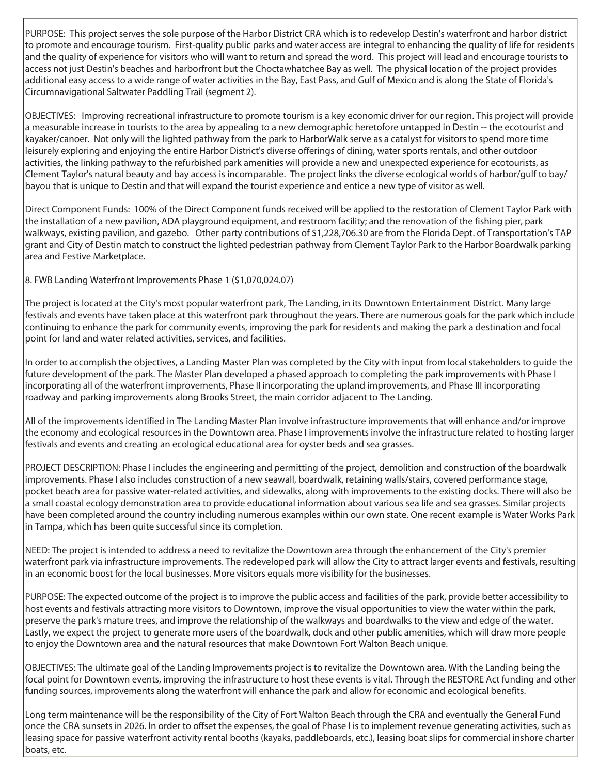PURPOSE: This project serves the sole purpose of the Harbor District CRA which is to redevelop Destin's waterfront and harbor district to promote and encourage tourism. First-quality public parks and water access are integral to enhancing the quality of life for residents and the quality of experience for visitors who will want to return and spread the word. This project will lead and encourage tourists to access not just Destin's beaches and harborfront but the Choctawhatchee Bay as well. The physical location of the project provides additional easy access to a wide range of water activities in the Bay, East Pass, and Gulf of Mexico and is along the State of Florida's Circumnavigational Saltwater Paddling Trail (segment 2).

OBJECTIVES: Improving recreational infrastructure to promote tourism is a key economic driver for our region. This project will provide a measurable increase in tourists to the area by appealing to a new demographic heretofore untapped in Destin -- the ecotourist and kayaker/canoer. Not only will the lighted pathway from the park to HarborWalk serve as a catalyst for visitors to spend more time leisurely exploring and enjoying the entire Harbor District's diverse offerings of dining, water sports rentals, and other outdoor activities, the linking pathway to the refurbished park amenities will provide a new and unexpected experience for ecotourists, as Clement Taylor's natural beauty and bay access is incomparable. The project links the diverse ecological worlds of harbor/gulf to bay/ bayou that is unique to Destin and that will expand the tourist experience and entice a new type of visitor as well.

Direct Component Funds: 100% of the Direct Component funds received will be applied to the restoration of Clement Taylor Park with the installation of a new pavilion, ADA playground equipment, and restroom facility; and the renovation of the fishing pier, park walkways, existing pavilion, and gazebo. Other party contributions of \$1,228,706.30 are from the Florida Dept. of Transportation's TAP grant and City of Destin match to construct the lighted pedestrian pathway from Clement Taylor Park to the Harbor Boardwalk parking area and Festive Marketplace.

8. FWB Landing Waterfront Improvements Phase 1 (\$1,070,024.07)

The project is located at the City's most popular waterfront park, The Landing, in its Downtown Entertainment District. Many large festivals and events have taken place at this waterfront park throughout the years. There are numerous goals for the park which include continuing to enhance the park for community events, improving the park for residents and making the park a destination and focal point for land and water related activities, services, and facilities.

In order to accomplish the objectives, a Landing Master Plan was completed by the City with input from local stakeholders to guide the future development of the park. The Master Plan developed a phased approach to completing the park improvements with Phase I incorporating all of the waterfront improvements, Phase II incorporating the upland improvements, and Phase III incorporating roadway and parking improvements along Brooks Street, the main corridor adjacent to The Landing.

All of the improvements identified in The Landing Master Plan involve infrastructure improvements that will enhance and/or improve the economy and ecological resources in the Downtown area. Phase I improvements involve the infrastructure related to hosting larger festivals and events and creating an ecological educational area for oyster beds and sea grasses.

PROJECT DESCRIPTION: Phase I includes the engineering and permitting of the project, demolition and construction of the boardwalk improvements. Phase I also includes construction of a new seawall, boardwalk, retaining walls/stairs, covered performance stage, pocket beach area for passive water-related activities, and sidewalks, along with improvements to the existing docks. There will also be a small coastal ecology demonstration area to provide educational information about various sea life and sea grasses. Similar projects have been completed around the country including numerous examples within our own state. One recent example is Water Works Park in Tampa, which has been quite successful since its completion.

NEED: The project is intended to address a need to revitalize the Downtown area through the enhancement of the City's premier waterfront park via infrastructure improvements. The redeveloped park will allow the City to attract larger events and festivals, resulting in an economic boost for the local businesses. More visitors equals more visibility for the businesses.

PURPOSE: The expected outcome of the project is to improve the public access and facilities of the park, provide better accessibility to host events and festivals attracting more visitors to Downtown, improve the visual opportunities to view the water within the park, preserve the park's mature trees, and improve the relationship of the walkways and boardwalks to the view and edge of the water. Lastly, we expect the project to generate more users of the boardwalk, dock and other public amenities, which will draw more people to enjoy the Downtown area and the natural resources that make Downtown Fort Walton Beach unique.

OBJECTIVES: The ultimate goal of the Landing Improvements project is to revitalize the Downtown area. With the Landing being the focal point for Downtown events, improving the infrastructure to host these events is vital. Through the RESTORE Act funding and other funding sources, improvements along the waterfront will enhance the park and allow for economic and ecological benefits.

Long term maintenance will be the responsibility of the City of Fort Walton Beach through the CRA and eventually the General Fund once the CRA sunsets in 2026. In order to offset the expenses, the goal of Phase I is to implement revenue generating activities, such as leasing space for passive waterfront activity rental booths (kayaks, paddleboards, etc.), leasing boat slips for commercial inshore charter boats, etc.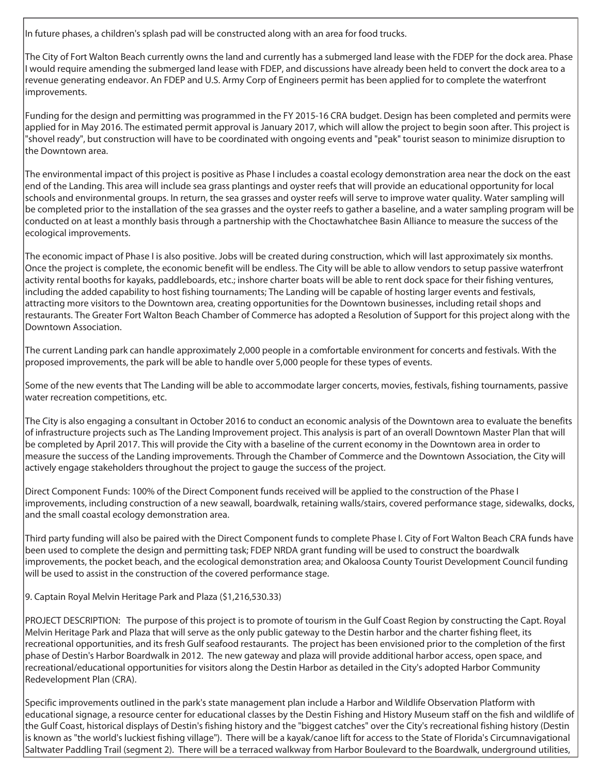In future phases, a children's splash pad will be constructed along with an area for food trucks.

The City of Fort Walton Beach currently owns the land and currently has a submerged land lease with the FDEP for the dock area. Phase I would require amending the submerged land lease with FDEP, and discussions have already been held to convert the dock area to a revenue generating endeavor. An FDEP and U.S. Army Corp of Engineers permit has been applied for to complete the waterfront improvements.

Funding for the design and permitting was programmed in the FY 2015-16 CRA budget. Design has been completed and permits were applied for in May 2016. The estimated permit approval is January 2017, which will allow the project to begin soon after. This project is "shovel ready", but construction will have to be coordinated with ongoing events and "peak" tourist season to minimize disruption to the Downtown area.

The environmental impact of this project is positive as Phase I includes a coastal ecology demonstration area near the dock on the east end of the Landing. This area will include sea grass plantings and oyster reefs that will provide an educational opportunity for local schools and environmental groups. In return, the sea grasses and oyster reefs will serve to improve water quality. Water sampling will be completed prior to the installation of the sea grasses and the oyster reefs to gather a baseline, and a water sampling program will be conducted on at least a monthly basis through a partnership with the Choctawhatchee Basin Alliance to measure the success of the ecological improvements.

The economic impact of Phase I is also positive. Jobs will be created during construction, which will last approximately six months. Once the project is complete, the economic benefit will be endless. The City will be able to allow vendors to setup passive waterfront activity rental booths for kayaks, paddleboards, etc.; inshore charter boats will be able to rent dock space for their fishing ventures, including the added capability to host fishing tournaments; The Landing will be capable of hosting larger events and festivals, attracting more visitors to the Downtown area, creating opportunities for the Downtown businesses, including retail shops and restaurants. The Greater Fort Walton Beach Chamber of Commerce has adopted a Resolution of Support for this project along with the Downtown Association.

The current Landing park can handle approximately 2,000 people in a comfortable environment for concerts and festivals. With the proposed improvements, the park will be able to handle over 5,000 people for these types of events.

Some of the new events that The Landing will be able to accommodate larger concerts, movies, festivals, fishing tournaments, passive water recreation competitions, etc.

The City is also engaging a consultant in October 2016 to conduct an economic analysis of the Downtown area to evaluate the benefits of infrastructure projects such as The Landing Improvement project. This analysis is part of an overall Downtown Master Plan that will be completed by April 2017. This will provide the City with a baseline of the current economy in the Downtown area in order to measure the success of the Landing improvements. Through the Chamber of Commerce and the Downtown Association, the City will actively engage stakeholders throughout the project to gauge the success of the project.

Direct Component Funds: 100% of the Direct Component funds received will be applied to the construction of the Phase I improvements, including construction of a new seawall, boardwalk, retaining walls/stairs, covered performance stage, sidewalks, docks, and the small coastal ecology demonstration area.

Third party funding will also be paired with the Direct Component funds to complete Phase I. City of Fort Walton Beach CRA funds have been used to complete the design and permitting task; FDEP NRDA grant funding will be used to construct the boardwalk improvements, the pocket beach, and the ecological demonstration area; and Okaloosa County Tourist Development Council funding will be used to assist in the construction of the covered performance stage.

9. Captain Royal Melvin Heritage Park and Plaza (\$1,216,530.33)

PROJECT DESCRIPTION: The purpose of this project is to promote of tourism in the Gulf Coast Region by constructing the Capt. Royal Melvin Heritage Park and Plaza that will serve as the only public gateway to the Destin harbor and the charter fishing fleet, its recreational opportunities, and its fresh Gulf seafood restaurants. The project has been envisioned prior to the completion of the first phase of Destin's Harbor Boardwalk in 2012. The new gateway and plaza will provide additional harbor access, open space, and recreational/educational opportunities for visitors along the Destin Harbor as detailed in the City's adopted Harbor Community Redevelopment Plan (CRA).

Specific improvements outlined in the park's state management plan include a Harbor and Wildlife Observation Platform with educational signage, a resource center for educational classes by the Destin Fishing and History Museum staff on the fish and wildlife of the Gulf Coast, historical displays of Destin's fishing history and the "biggest catches" over the City's recreational fishing history (Destin is known as "the world's luckiest fishing village"). There will be a kayak/canoe lift for access to the State of Florida's Circumnavigational Saltwater Paddling Trail (segment 2). There will be a terraced walkway from Harbor Boulevard to the Boardwalk, underground utilities,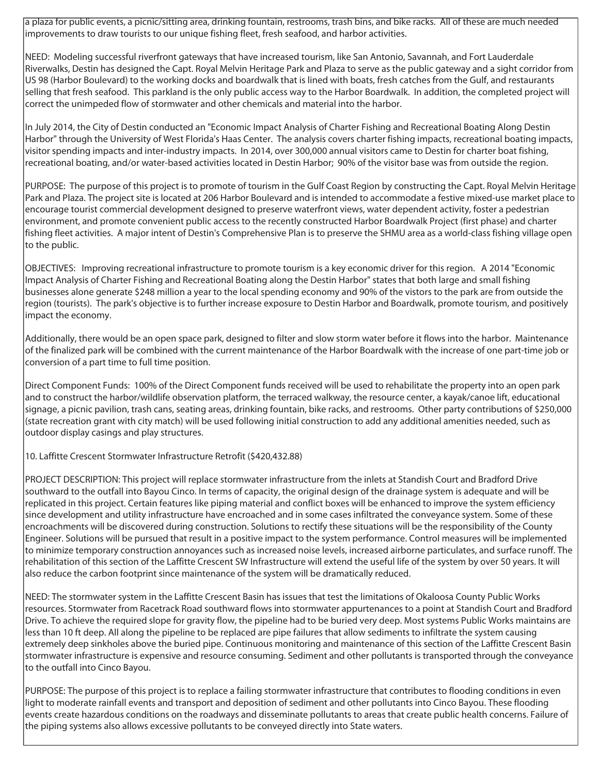a plaza for public events, a picnic/sitting area, drinking fountain, restrooms, trash bins, and bike racks. All of these are much needed improvements to draw tourists to our unique fishing fleet, fresh seafood, and harbor activities.

NEED: Modeling successful riverfront gateways that have increased tourism, like San Antonio, Savannah, and Fort Lauderdale Riverwalks, Destin has designed the Capt. Royal Melvin Heritage Park and Plaza to serve as the public gateway and a sight corridor from US 98 (Harbor Boulevard) to the working docks and boardwalk that is lined with boats, fresh catches from the Gulf, and restaurants selling that fresh seafood. This parkland is the only public access way to the Harbor Boardwalk. In addition, the completed project will correct the unimpeded flow of stormwater and other chemicals and material into the harbor.

In July 2014, the City of Destin conducted an "Economic Impact Analysis of Charter Fishing and Recreational Boating Along Destin Harbor" through the University of West Florida's Haas Center. The analysis covers charter fishing impacts, recreational boating impacts, visitor spending impacts and inter-industry impacts. In 2014, over 300,000 annual visitors came to Destin for charter boat fishing, recreational boating, and/or water-based activities located in Destin Harbor; 90% of the visitor base was from outside the region.

PURPOSE: The purpose of this project is to promote of tourism in the Gulf Coast Region by constructing the Capt. Royal Melvin Heritage Park and Plaza. The project site is located at 206 Harbor Boulevard and is intended to accommodate a festive mixed-use market place to encourage tourist commercial development designed to preserve waterfront views, water dependent activity, foster a pedestrian environment, and promote convenient public access to the recently constructed Harbor Boardwalk Project (first phase) and charter fishing fleet activities. A major intent of Destin's Comprehensive Plan is to preserve the SHMU area as a world-class fishing village open to the public.

OBJECTIVES: Improving recreational infrastructure to promote tourism is a key economic driver for this region. A 2014 "Economic Impact Analysis of Charter Fishing and Recreational Boating along the Destin Harbor" states that both large and small fishing businesses alone generate \$248 million a year to the local spending economy and 90% of the vistors to the park are from outside the region (tourists). The park's objective is to further increase exposure to Destin Harbor and Boardwalk, promote tourism, and positively impact the economy.

Additionally, there would be an open space park, designed to filter and slow storm water before it flows into the harbor. Maintenance of the finalized park will be combined with the current maintenance of the Harbor Boardwalk with the increase of one part-time job or conversion of a part time to full time position.

Direct Component Funds: 100% of the Direct Component funds received will be used to rehabilitate the property into an open park and to construct the harbor/wildlife observation platform, the terraced walkway, the resource center, a kayak/canoe lift, educational signage, a picnic pavilion, trash cans, seating areas, drinking fountain, bike racks, and restrooms. Other party contributions of \$250,000 (state recreation grant with city match) will be used following initial construction to add any additional amenities needed, such as outdoor display casings and play structures.

10. Laffitte Crescent Stormwater Infrastructure Retrofit (\$420,432.88)

PROJECT DESCRIPTION: This project will replace stormwater infrastructure from the inlets at Standish Court and Bradford Drive southward to the outfall into Bayou Cinco. In terms of capacity, the original design of the drainage system is adequate and will be replicated in this project. Certain features like piping material and conflict boxes will be enhanced to improve the system efficiency since development and utility infrastructure have encroached and in some cases infiltrated the conveyance system. Some of these encroachments will be discovered during construction. Solutions to rectify these situations will be the responsibility of the County Engineer. Solutions will be pursued that result in a positive impact to the system performance. Control measures will be implemented to minimize temporary construction annoyances such as increased noise levels, increased airborne particulates, and surface runoff. The rehabilitation of this section of the Laffitte Crescent SW Infrastructure will extend the useful life of the system by over 50 years. It will also reduce the carbon footprint since maintenance of the system will be dramatically reduced.

NEED: The stormwater system in the Laffitte Crescent Basin has issues that test the limitations of Okaloosa County Public Works resources. Stormwater from Racetrack Road southward flows into stormwater appurtenances to a point at Standish Court and Bradford Drive. To achieve the required slope for gravity flow, the pipeline had to be buried very deep. Most systems Public Works maintains are less than 10 ft deep. All along the pipeline to be replaced are pipe failures that allow sediments to infiltrate the system causing extremely deep sinkholes above the buried pipe. Continuous monitoring and maintenance of this section of the Laffitte Crescent Basin stormwater infrastructure is expensive and resource consuming. Sediment and other pollutants is transported through the conveyance to the outfall into Cinco Bayou.

PURPOSE: The purpose of this project is to replace a failing stormwater infrastructure that contributes to flooding conditions in even light to moderate rainfall events and transport and deposition of sediment and other pollutants into Cinco Bayou. These flooding events create hazardous conditions on the roadways and disseminate pollutants to areas that create public health concerns. Failure of the piping systems also allows excessive pollutants to be conveyed directly into State waters.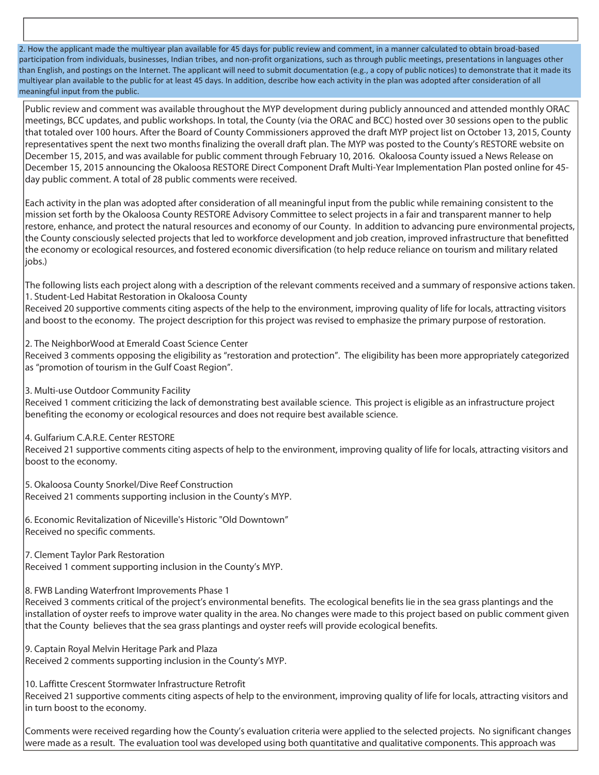2. How the applicant made the multiyear plan available for 45 days for public review and comment, in a manner calculated to obtain broad-based participation from individuals, businesses, Indian tribes, and non-profit organizations, such as through public meetings, presentations in languages other than English, and postings on the Internet. The applicant will need to submit documentation (e.g., a copy of public notices) to demonstrate that it made its multiyear plan available to the public for at least 45 days. In addition, describe how each activity in the plan was adopted after consideration of all meaningful input from the public.

Public review and comment was available throughout the MYP development during publicly announced and attended monthly ORAC meetings, BCC updates, and public workshops. In total, the County (via the ORAC and BCC) hosted over 30 sessions open to the public that totaled over 100 hours. After the Board of County Commissioners approved the draft MYP project list on October 13, 2015, County representatives spent the next two months finalizing the overall draft plan. The MYP was posted to the County's RESTORE website on December 15, 2015, and was available for public comment through February 10, 2016. Okaloosa County issued a News Release on December 15, 2015 announcing the Okaloosa RESTORE Direct Component Draft Multi-Year Implementation Plan posted online for 45 day public comment. A total of 28 public comments were received.

Each activity in the plan was adopted after consideration of all meaningful input from the public while remaining consistent to the mission set forth by the Okaloosa County RESTORE Advisory Committee to select projects in a fair and transparent manner to help restore, enhance, and protect the natural resources and economy of our County. In addition to advancing pure environmental projects, the County consciously selected projects that led to workforce development and job creation, improved infrastructure that benefitted the economy or ecological resources, and fostered economic diversification (to help reduce reliance on tourism and military related liobs.)

The following lists each project along with a description of the relevant comments received and a summary of responsive actions taken. 1. Student-Led Habitat Restoration in Okaloosa County

Received 20 supportive comments citing aspects of the help to the environment, improving quality of life for locals, attracting visitors and boost to the economy. The project description for this project was revised to emphasize the primary purpose of restoration.

2. The NeighborWood at Emerald Coast Science Center

Received 3 comments opposing the eligibility as "restoration and protection". The eligibility has been more appropriately categorized as "promotion of tourism in the Gulf Coast Region".

3. Multi-use Outdoor Community Facility

Received 1 comment criticizing the lack of demonstrating best available science. This project is eligible as an infrastructure project benefiting the economy or ecological resources and does not require best available science.

4. Gulfarium C.A.R.E. Center RESTORE

Received 21 supportive comments citing aspects of help to the environment, improving quality of life for locals, attracting visitors and boost to the economy.

5. Okaloosa County Snorkel/Dive Reef Construction Received 21 comments supporting inclusion in the County's MYP.

6. Economic Revitalization of Niceville's Historic "Old Downtown" Received no specific comments.

7. Clement Taylor Park Restoration

Received 1 comment supporting inclusion in the County's MYP.

8. FWB Landing Waterfront Improvements Phase 1

Received 3 comments critical of the project's environmental benefits. The ecological benefits lie in the sea grass plantings and the installation of oyster reefs to improve water quality in the area. No changes were made to this project based on public comment given that the County believes that the sea grass plantings and oyster reefs will provide ecological benefits.

9. Captain Royal Melvin Heritage Park and Plaza Received 2 comments supporting inclusion in the County's MYP.

10. Laffitte Crescent Stormwater Infrastructure Retrofit

Received 21 supportive comments citing aspects of help to the environment, improving quality of life for locals, attracting visitors and in turn boost to the economy.

Comments were received regarding how the County's evaluation criteria were applied to the selected projects. No significant changes were made as a result. The evaluation tool was developed using both quantitative and qualitative components. This approach was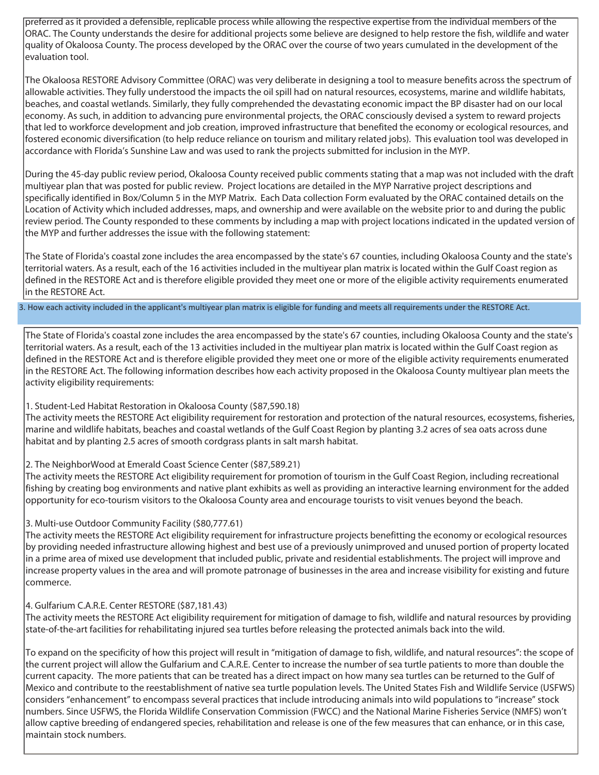preferred as it provided a defensible, replicable process while allowing the respective expertise from the individual members of the ORAC. The County understands the desire for additional projects some believe are designed to help restore the fish, wildlife and water quality of Okaloosa County. The process developed by the ORAC over the course of two years cumulated in the development of the evaluation tool.

The Okaloosa RESTORE Advisory Committee (ORAC) was very deliberate in designing a tool to measure benefits across the spectrum of allowable activities. They fully understood the impacts the oil spill had on natural resources, ecosystems, marine and wildlife habitats, beaches, and coastal wetlands. Similarly, they fully comprehended the devastating economic impact the BP disaster had on our local economy. As such, in addition to advancing pure environmental projects, the ORAC consciously devised a system to reward projects that led to workforce development and job creation, improved infrastructure that benefited the economy or ecological resources, and fostered economic diversification (to help reduce reliance on tourism and military related jobs). This evaluation tool was developed in accordance with Florida's Sunshine Law and was used to rank the projects submitted for inclusion in the MYP.

During the 45-day public review period, Okaloosa County received public comments stating that a map was not included with the draft multiyear plan that was posted for public review. Project locations are detailed in the MYP Narrative project descriptions and specifically identified in Box/Column 5 in the MYP Matrix. Each Data collection Form evaluated by the ORAC contained details on the Location of Activity which included addresses, maps, and ownership and were available on the website prior to and during the public review period. The County responded to these comments by including a map with project locations indicated in the updated version of the MYP and further addresses the issue with the following statement:

The State of Florida's coastal zone includes the area encompassed by the state's 67 counties, including Okaloosa County and the state's territorial waters. As a result, each of the 16 activities included in the multiyear plan matrix is located within the Gulf Coast region as defined in the RESTORE Act and is therefore eligible provided they meet one or more of the eligible activity requirements enumerated in the RESTORE Act.

3. How each activity included in the applicant's multiyear plan matrix is eligible for funding and meets all requirements under the RESTORE Act.

The State of Florida's coastal zone includes the area encompassed by the state's 67 counties, including Okaloosa County and the state's territorial waters. As a result, each of the 13 activities included in the multiyear plan matrix is located within the Gulf Coast region as defined in the RESTORE Act and is therefore eligible provided they meet one or more of the eligible activity requirements enumerated in the RESTORE Act. The following information describes how each activity proposed in the Okaloosa County multiyear plan meets the activity eligibility requirements:

#### 1. Student-Led Habitat Restoration in Okaloosa County (\$87,590.18)

The activity meets the RESTORE Act eligibility requirement for restoration and protection of the natural resources, ecosystems, fisheries, marine and wildlife habitats, beaches and coastal wetlands of the Gulf Coast Region by planting 3.2 acres of sea oats across dune habitat and by planting 2.5 acres of smooth cordgrass plants in salt marsh habitat.

#### 2. The NeighborWood at Emerald Coast Science Center (\$87,589.21)

The activity meets the RESTORE Act eligibility requirement for promotion of tourism in the Gulf Coast Region, including recreational fishing by creating bog environments and native plant exhibits as well as providing an interactive learning environment for the added opportunity for eco-tourism visitors to the Okaloosa County area and encourage tourists to visit venues beyond the beach.

### 3. Multi-use Outdoor Community Facility (\$80,777.61)

The activity meets the RESTORE Act eligibility requirement for infrastructure projects benefitting the economy or ecological resources by providing needed infrastructure allowing highest and best use of a previously unimproved and unused portion of property located in a prime area of mixed use development that included public, private and residential establishments. The project will improve and increase property values in the area and will promote patronage of businesses in the area and increase visibility for existing and future commerce.

### 4. Gulfarium C.A.R.E. Center RESTORE (\$87,181.43)

The activity meets the RESTORE Act eligibility requirement for mitigation of damage to fish, wildlife and natural resources by providing state-of-the-art facilities for rehabilitating injured sea turtles before releasing the protected animals back into the wild.

To expand on the specificity of how this project will result in "mitigation of damage to fish, wildlife, and natural resources": the scope of the current project will allow the Gulfarium and C.A.R.E. Center to increase the number of sea turtle patients to more than double the current capacity. The more patients that can be treated has a direct impact on how many sea turtles can be returned to the Gulf of Mexico and contribute to the reestablishment of native sea turtle population levels. The United States Fish and Wildlife Service (USFWS) considers "enhancement" to encompass several practices that include introducing animals into wild populations to "increase" stock numbers. Since USFWS, the Florida Wildlife Conservation Commission (FWCC) and the National Marine Fisheries Service (NMFS) won't allow captive breeding of endangered species, rehabilitation and release is one of the few measures that can enhance, or in this case, maintain stock numbers.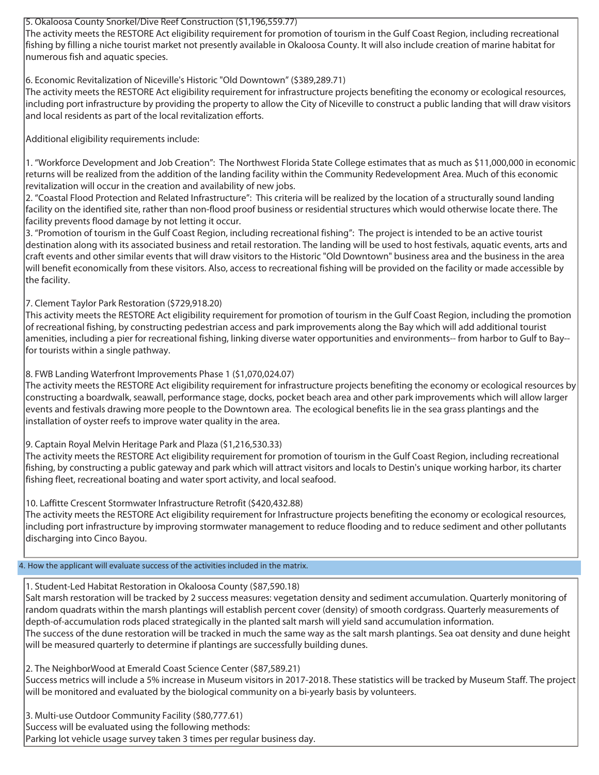### 5. Okaloosa County Snorkel/Dive Reef Construction (\$1,196,559.77)

The activity meets the RESTORE Act eligibility requirement for promotion of tourism in the Gulf Coast Region, including recreational fishing by filling a niche tourist market not presently available in Okaloosa County. It will also include creation of marine habitat for numerous fish and aquatic species.

## 6. Economic Revitalization of Niceville's Historic "Old Downtown" (\$389,289.71)

The activity meets the RESTORE Act eligibility requirement for infrastructure projects benefiting the economy or ecological resources, including port infrastructure by providing the property to allow the City of Niceville to construct a public landing that will draw visitors and local residents as part of the local revitalization efforts.

Additional eligibility requirements include:

1. "Workforce Development and Job Creation": The Northwest Florida State College estimates that as much as \$11,000,000 in economic returns will be realized from the addition of the landing facility within the Community Redevelopment Area. Much of this economic revitalization will occur in the creation and availability of new jobs.

2. "Coastal Flood Protection and Related Infrastructure": This criteria will be realized by the location of a structurally sound landing facility on the identified site, rather than non-flood proof business or residential structures which would otherwise locate there. The facility prevents flood damage by not letting it occur.

3. "Promotion of tourism in the Gulf Coast Region, including recreational fishing": The project is intended to be an active tourist destination along with its associated business and retail restoration. The landing will be used to host festivals, aquatic events, arts and craft events and other similar events that will draw visitors to the Historic "Old Downtown" business area and the business in the area will benefit economically from these visitors. Also, access to recreational fishing will be provided on the facility or made accessible by the facility.

## 7. Clement Taylor Park Restoration (\$729,918.20)

This activity meets the RESTORE Act eligibility requirement for promotion of tourism in the Gulf Coast Region, including the promotion of recreational fishing, by constructing pedestrian access and park improvements along the Bay which will add additional tourist amenities, including a pier for recreational fishing, linking diverse water opportunities and environments-- from harbor to Gulf to Bay- for tourists within a single pathway.

### 8. FWB Landing Waterfront Improvements Phase 1 (\$1,070,024.07)

 $|\textsf{The activity meets the RESTORE Act eligibility requirement for infrastructure projects benefits.$ constructing a boardwalk, seawall, performance stage, docks, pocket beach area and other park improvements which will allow larger events and festivals drawing more people to the Downtown area. The ecological benefits lie in the sea grass plantings and the installation of oyster reefs to improve water quality in the area.

9. Captain Royal Melvin Heritage Park and Plaza (\$1,216,530.33)

The activity meets the RESTORE Act eligibility requirement for promotion of tourism in the Gulf Coast Region, including recreational fishing, by constructing a public gateway and park which will attract visitors and locals to Destin's unique working harbor, its charter fishing fleet, recreational boating and water sport activity, and local seafood.

### 10. Laffitte Crescent Stormwater Infrastructure Retrofit (\$420,432.88)

The activity meets the RESTORE Act eligibility requirement for Infrastructure projects benefiting the economy or ecological resources, including port infrastructure by improving stormwater management to reduce flooding and to reduce sediment and other pollutants discharging into Cinco Bayou.

### 4. How the applicant will evaluate success of the activities included in the matrix.

### 1. Student-Led Habitat Restoration in Okaloosa County (\$87,590.18)

Salt marsh restoration will be tracked by 2 success measures: vegetation density and sediment accumulation. Quarterly monitoring of random quadrats within the marsh plantings will establish percent cover (density) of smooth cordgrass. Quarterly measurements of depth-of-accumulation rods placed strategically in the planted salt marsh will yield sand accumulation information. The success of the dune restoration will be tracked in much the same way as the salt marsh plantings. Sea oat density and dune height will be measured quarterly to determine if plantings are successfully building dunes.

2. The NeighborWood at Emerald Coast Science Center (\$87,589.21)

Success metrics will include a 5% increase in Museum visitors in 2017-2018. These statistics will be tracked by Museum Staff. The project will be monitored and evaluated by the biological community on a bi-yearly basis by volunteers.

3. Multi-use Outdoor Community Facility (\$80,777.61) Success will be evaluated using the following methods: Parking lot vehicle usage survey taken 3 times per regular business day.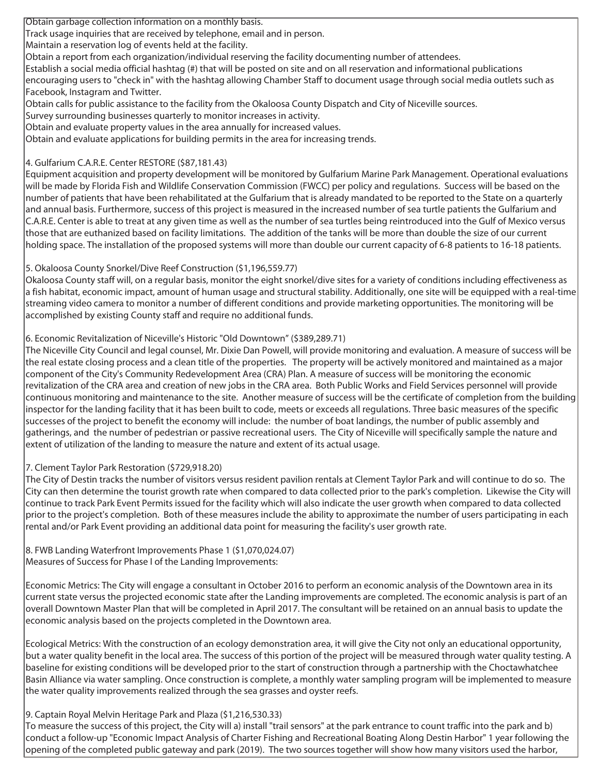Obtain garbage collection information on a monthly basis.

Track usage inquiries that are received by telephone, email and in person.

Maintain a reservation log of events held at the facility.

Obtain a report from each organization/individual reserving the facility documenting number of attendees.

Establish a social media official hashtag (#) that will be posted on site and on all reservation and informational publications encouraging users to "check in" with the hashtag allowing Chamber Staff to document usage through social media outlets such as Facebook, Instagram and Twitter.

Obtain calls for public assistance to the facility from the Okaloosa County Dispatch and City of Niceville sources.

Survey surrounding businesses quarterly to monitor increases in activity.

Obtain and evaluate property values in the area annually for increased values.

Obtain and evaluate applications for building permits in the area for increasing trends.

# 4. Gulfarium C.A.R.E. Center RESTORE (\$87,181.43)

Equipment acquisition and property development will be monitored by Gulfarium Marine Park Management. Operational evaluations will be made by Florida Fish and Wildlife Conservation Commission (FWCC) per policy and regulations. Success will be based on the number of patients that have been rehabilitated at the Gulfarium that is already mandated to be reported to the State on a quarterly and annual basis. Furthermore, success of this project is measured in the increased number of sea turtle patients the Gulfarium and C.A.R.E. Center is able to treat at any given time as well as the number of sea turtles being reintroduced into the Gulf of Mexico versus those that are euthanized based on facility limitations. The addition of the tanks will be more than double the size of our current holding space. The installation of the proposed systems will more than double our current capacity of 6-8 patients to 16-18 patients.

## 5. Okaloosa County Snorkel/Dive Reef Construction (\$1,196,559.77)

Okaloosa County staff will, on a regular basis, monitor the eight snorkel/dive sites for a variety of conditions including effectiveness as a fish habitat, economic impact, amount of human usage and structural stability. Additionally, one site will be equipped with a real-time streaming video camera to monitor a number of different conditions and provide marketing opportunities. The monitoring will be accomplished by existing County staff and require no additional funds.

## 6. Economic Revitalization of Niceville's Historic "Old Downtown" (\$389,289.71)

The Niceville City Council and legal counsel, Mr. Dixie Dan Powell, will provide monitoring and evaluation. A measure of success will be the real estate closing process and a clean title of the properties. The property will be actively monitored and maintained as a major component of the City's Community Redevelopment Area (CRA) Plan. A measure of success will be monitoring the economic revitalization of the CRA area and creation of new jobs in the CRA area. Both Public Works and Field Services personnel will provide continuous monitoring and maintenance to the site. Another measure of success will be the certificate of completion from the building inspector for the landing facility that it has been built to code, meets or exceeds all regulations. Three basic measures of the specific successes of the project to benefit the economy will include: the number of boat landings, the number of public assembly and gatherings, and the number of pedestrian or passive recreational users. The City of Niceville will specifically sample the nature and extent of utilization of the landing to measure the nature and extent of its actual usage.

### 7. Clement Taylor Park Restoration (\$729,918.20)

The City of Destin tracks the number of visitors versus resident pavilion rentals at Clement Taylor Park and will continue to do so. The City can then determine the tourist growth rate when compared to data collected prior to the park's completion. Likewise the City will continue to track Park Event Permits issued for the facility which will also indicate the user growth when compared to data collected prior to the project's completion. Both of these measures include the ability to approximate the number of users participating in each rental and/or Park Event providing an additional data point for measuring the facility's user growth rate.

8. FWB Landing Waterfront Improvements Phase 1 (\$1,070,024.07) Measures of Success for Phase I of the Landing Improvements:

Economic Metrics: The City will engage a consultant in October 2016 to perform an economic analysis of the Downtown area in its current state versus the projected economic state after the Landing improvements are completed. The economic analysis is part of an overall Downtown Master Plan that will be completed in April 2017. The consultant will be retained on an annual basis to update the economic analysis based on the projects completed in the Downtown area.

Ecological Metrics: With the construction of an ecology demonstration area, it will give the City not only an educational opportunity, but a water quality benefit in the local area. The success of this portion of the project will be measured through water quality testing. A baseline for existing conditions will be developed prior to the start of construction through a partnership with the Choctawhatchee Basin Alliance via water sampling. Once construction is complete, a monthly water sampling program will be implemented to measure the water quality improvements realized through the sea grasses and oyster reefs.

### 9. Captain Royal Melvin Heritage Park and Plaza (\$1,216,530.33)

To measure the success of this project, the City will a) install "trail sensors" at the park entrance to count traffic into the park and b) conduct a follow-up "Economic Impact Analysis of Charter Fishing and Recreational Boating Along Destin Harbor" 1 year following the opening of the completed public gateway and park (2019). The two sources together will show how many visitors used the harbor,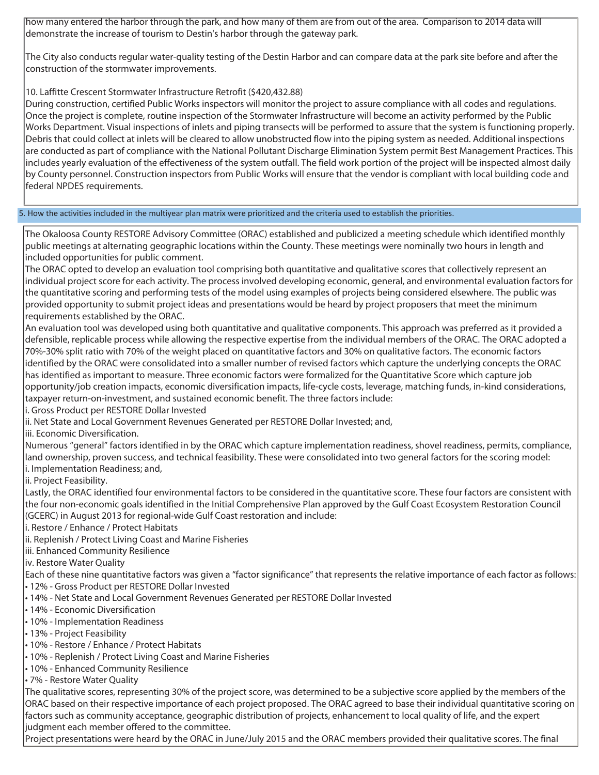how many entered the harbor through the park, and how many of them are from out of the area. Comparison to 2014 data will demonstrate the increase of tourism to Destin's harbor through the gateway park.

The City also conducts regular water-quality testing of the Destin Harbor and can compare data at the park site before and after the construction of the stormwater improvements.

### 10. Laffitte Crescent Stormwater Infrastructure Retrofit (\$420,432.88)

During construction, certified Public Works inspectors will monitor the project to assure compliance with all codes and regulations. Once the project is complete, routine inspection of the Stormwater Infrastructure will become an activity performed by the Public Works Department. Visual inspections of inlets and piping transects will be performed to assure that the system is functioning properly. Debris that could collect at inlets will be cleared to allow unobstructed flow into the piping system as needed. Additional inspections are conducted as part of compliance with the National Pollutant Discharge Elimination System permit Best Management Practices. This includes yearly evaluation of the effectiveness of the system outfall. The field work portion of the project will be inspected almost daily by County personnel. Construction inspectors from Public Works will ensure that the vendor is compliant with local building code and federal NPDES requirements.

5. How the activities included in the multiyear plan matrix were prioritized and the criteria used to establish the priorities.

The Okaloosa County RESTORE Advisory Committee (ORAC) established and publicized a meeting schedule which identified monthly public meetings at alternating geographic locations within the County. These meetings were nominally two hours in length and included opportunities for public comment.

The ORAC opted to develop an evaluation tool comprising both quantitative and qualitative scores that collectively represent an individual project score for each activity. The process involved developing economic, general, and environmental evaluation factors for the quantitative scoring and performing tests of the model using examples of projects being considered elsewhere. The public was provided opportunity to submit project ideas and presentations would be heard by project proposers that meet the minimum requirements established by the ORAC.

An evaluation tool was developed using both quantitative and qualitative components. This approach was preferred as it provided a defensible, replicable process while allowing the respective expertise from the individual members of the ORAC. The ORAC adopted a 70%-30% split ratio with 70% of the weight placed on quantitative factors and 30% on qualitative factors. The economic factors identified by the ORAC were consolidated into a smaller number of revised factors which capture the underlying concepts the ORAC has identified as important to measure. Three economic factors were formalized for the Quantitative Score which capture job opportunity/job creation impacts, economic diversification impacts, life-cycle costs, leverage, matching funds, in-kind considerations, taxpayer return-on-investment, and sustained economic benefit. The three factors include:

i. Gross Product per RESTORE Dollar Invested

ii. Net State and Local Government Revenues Generated per RESTORE Dollar Invested; and,

iii. Economic Diversification.

Numerous "general" factors identified in by the ORAC which capture implementation readiness, shovel readiness, permits, compliance, land ownership, proven success, and technical feasibility. These were consolidated into two general factors for the scoring model: i. Implementation Readiness; and,

lii. Project Feasibility.

Lastly, the ORAC identified four environmental factors to be considered in the quantitative score. These four factors are consistent with the four non-economic goals identified in the Initial Comprehensive Plan approved by the Gulf Coast Ecosystem Restoration Council (GCERC) in August 2013 for regional-wide Gulf Coast restoration and include:

i. Restore / Enhance / Protect Habitats

ii. Replenish / Protect Living Coast and Marine Fisheries

iii. Enhanced Community Resilience

iv. Restore Water Quality

Each of these nine quantitative factors was given a "factor significance" that represents the relative importance of each factor as follows:

• 12% - Gross Product per RESTORE Dollar Invested

- 14% Net State and Local Government Revenues Generated per RESTORE Dollar Invested
- 14% Economic Diversification
- 10% Implementation Readiness
- 13% Project Feasibility
- 10% Restore / Enhance / Protect Habitats
- 10% Replenish / Protect Living Coast and Marine Fisheries
- 10% Enhanced Community Resilience

• 7% - Restore Water Quality

The qualitative scores, representing 30% of the project score, was determined to be a subjective score applied by the members of the ORAC based on their respective importance of each project proposed. The ORAC agreed to base their individual quantitative scoring on factors such as community acceptance, geographic distribution of projects, enhancement to local quality of life, and the expert judgment each member offered to the committee.

Project presentations were heard by the ORAC in June/July 2015 and the ORAC members provided their qualitative scores. The final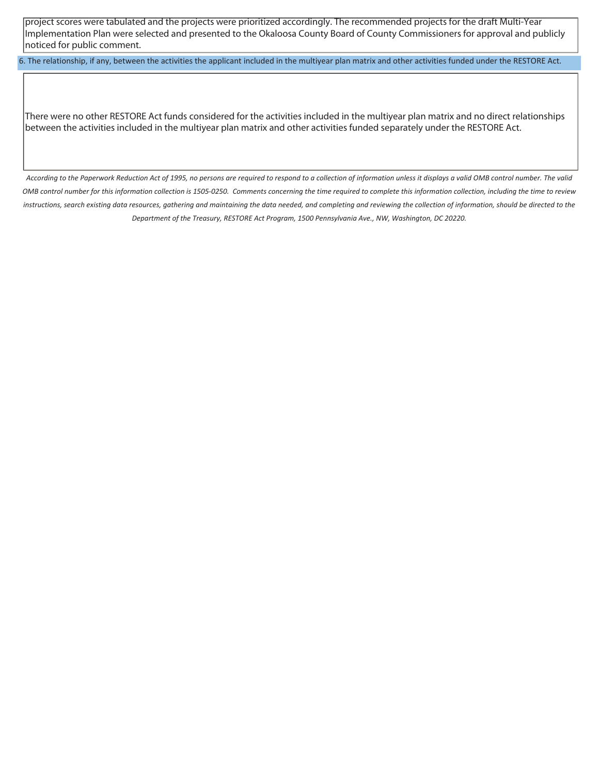project scores were tabulated and the projects were prioritized accordingly. The recommended projects for the draft Multi-Year Implementation Plan were selected and presented to the Okaloosa County Board of County Commissioners for approval and publicly noticed for public comment.

6. The relationship, if any, between the activities the applicant included in the multiyear plan matrix and other activities funded under the RESTORE Act.

There were no other RESTORE Act funds considered for the activities included in the multiyear plan matrix and no direct relationships between the activities included in the multiyear plan matrix and other activities funded separately under the RESTORE Act.

*According to the Paperwork Reduction Act of 1995, no persons are required to respond to a collection of information unless it displays a valid OMB control number. The valid OMB control number for this information collection is 1505-0250. Comments concerning the time required to complete this information collection, including the time to review instructions, search existing data resources, gathering and maintaining the data needed, and completing and reviewing the collection of information, should be directed to the Department of the Treasury, RESTORE Act Program, 1500 Pennsylvania Ave., NW, Washington, DC 20220.*